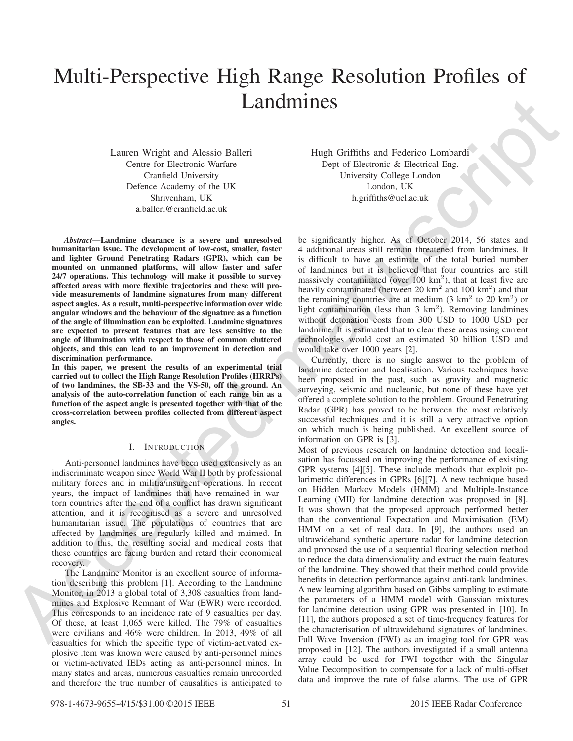# Multi-Perspective High Range Resolution Profiles of Landmines

Lauren Wright and Alessio Balleri Centre for Electronic Warfare Cranfield University Defence Academy of the UK Shrivenham, UK a.balleri@cranfield.ac.uk

*Abstract*—Landmine clearance is a severe and unresolved humanitarian issue. The development of low-cost, smaller, faster and lighter Ground Penetrating Radars (GPR), which can be mounted on unmanned platforms, will allow faster and safer 24/7 operations. This technology will make it possible to survey affected areas with more flexible trajectories and these will provide measurements of landmine signatures from many different aspect angles. As a result, multi-perspective information over wide angular windows and the behaviour of the signature as a function of the angle of illumination can be exploited. Landmine signatures are expected to present features that are less sensitive to the angle of illumination with respect to those of common cluttered objects, and this can lead to an improvement in detection and discrimination performance.

In this paper, we present the results of an experimental trial carried out to collect the High Range Resolution Profiles (HRRPs) of two landmines, the SB-33 and the VS-50, off the ground. An analysis of the auto-correlation function of each range bin as a function of the aspect angle is presented together with that of the cross-correlation between profiles collected from different aspect angles.

# I. INTRODUCTION

Anti-personnel landmines have been used extensively as an indiscriminate weapon since World War II both by professional military forces and in militia/insurgent operations. In recent years, the impact of landmines that have remained in wartorn countries after the end of a conflict has drawn significant attention, and it is recognised as a severe and unresolved humanitarian issue. The populations of countries that are affected by landmines are regularly killed and maimed. In addition to this, the resulting social and medical costs that these countries are facing burden and retard their economical recovery.

The Landmine Monitor is an excellent source of information describing this problem [1]. According to the Landmine Monitor, in 2013 a global total of 3,308 casualties from landmines and Explosive Remnant of War (EWR) were recorded. This corresponds to an incidence rate of 9 casualties per day. Of these, at least 1,065 were killed. The 79% of casualties were civilians and 46% were children. In 2013, 49% of all casualties for which the specific type of victim-activated explosive item was known were caused by anti-personnel mines or victim-activated IEDs acting as anti-personnel mines. In many states and areas, numerous casualties remain unrecorded and therefore the true number of causalities is anticipated to Hugh Griffiths and Federico Lombardi Dept of Electronic & Electrical Eng. University College London London, UK h.griffiths@ucl.ac.uk

be significantly higher. As of October 2014, 56 states and 4 additional areas still remain threatened from landmines. It is difficult to have an estimate of the total buried number of landmines but it is believed that four countries are still massively contaminated (over  $100 \text{ km}^2$ ), that at least five are heavily contaminated (between  $20 \text{ km}^2$  and  $100 \text{ km}^2$ ) and that the remaining countries are at medium  $(3 \text{ km}^2 \text{ to } 20 \text{ km}^2)$  or light contamination (less than  $3 \text{ km}^2$ ). Removing landmines without detonation costs from 300 USD to 1000 USD per landmine. It is estimated that to clear these areas using current technologies would cost an estimated 30 billion USD and would take over 1000 years [2].

Currently, there is no single answer to the problem of landmine detection and localisation. Various techniques have been proposed in the past, such as gravity and magnetic surveying, seismic and nucleonic, but none of these have yet offered a complete solution to the problem. Ground Penetrating Radar (GPR) has proved to be between the most relatively successful techniques and it is still a very attractive option on which much is being published. An excellent source of information on GPR is [3].

**Land Chinese Books and Access the Contribute of Books and Theodorics Chinese Books and the Control Chinese Chinese Chinese Chinese Chinese Chinese Chinese Chinese Chinese Chinese Chinese Chinese Chinese Chinese Chinese C** Most of previous research on landmine detection and localisation has focussed on improving the performance of existing GPR systems [4][5]. These include methods that exploit polarimetric differences in GPRs [6][7]. A new technique based on Hidden Markov Models (HMM) and Multiple-Instance Learning (MII) for landmine detection was proposed in [8]. It was shown that the proposed approach performed better than the conventional Expectation and Maximisation (EM) HMM on a set of real data. In [9], the authors used an ultrawideband synthetic aperture radar for landmine detection and proposed the use of a sequential floating selection method to reduce the data dimensionality and extract the main features of the landmine. They showed that their method could provide benefits in detection performance against anti-tank landmines. A new learning algorithm based on Gibbs sampling to estimate the parameters of a HMM model with Gaussian mixtures for landmine detection using GPR was presented in [10]. In [11], the authors proposed a set of time-frequency features for the characterisation of ultrawideband signatures of landmines. Full Wave Inversion (FWI) as an imaging tool for GPR was proposed in [12]. The authors investigated if a small antenna array could be used for FWI together with the Singular Value Decomposition to compensate for a lack of multi-offset data and improve the rate of false alarms. The use of GPR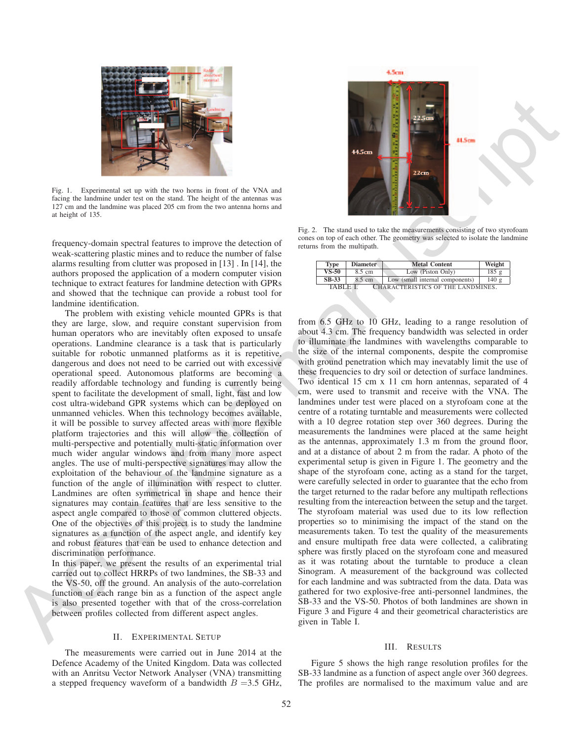

Fig. 1. Experimental set up with the two horns in front of the VNA and facing the landmine under test on the stand. The height of the antennas was 127 cm and the landmine was placed 205 cm from the two antenna horns and at height of 135.

frequency-domain spectral features to improve the detection of weak-scattering plastic mines and to reduce the number of false alarms resulting from clutter was proposed in [13] . In [14], the authors proposed the application of a modern computer vision technique to extract features for landmine detection with GPRs and showed that the technique can provide a robust tool for landmine identification.

The problem with existing vehicle mounted GPRs is that they are large, slow, and require constant supervision from human operators who are inevitably often exposed to unsafe operations. Landmine clearance is a task that is particularly suitable for robotic unmanned platforms as it is repetitive, dangerous and does not need to be carried out with excessive operational speed. Autonomous platforms are becoming a readily affordable technology and funding is currently being spent to facilitate the development of small, light, fast and low cost ultra-wideband GPR systems which can be deployed on unmanned vehicles. When this technology becomes available, it will be possible to survey affected areas with more flexible platform trajectories and this will allow the collection of multi-perspective and potentially multi-static information over much wider angular windows and from many more aspect angles. The use of multi-perspective signatures may allow the exploitation of the behaviour of the landmine signature as a function of the angle of illumination with respect to clutter. Landmines are often symmetrical in shape and hence their signatures may contain features that are less sensitive to the aspect angle compared to those of common cluttered objects. One of the objectives of this project is to study the landmine signatures as a function of the aspect angle, and identify key and robust features that can be used to enhance detection and discrimination performance.

In this paper, we present the results of an experimental trial carried out to collect HRRPs of two landmines, the SB-33 and the VS-50, off the ground. An analysis of the auto-correlation function of each range bin as a function of the aspect angle is also presented together with that of the cross-correlation between profiles collected from different aspect angles.

### II. EXPERIMENTAL SETUP

The measurements were carried out in June 2014 at the Defence Academy of the United Kingdom. Data was collected with an Anritsu Vector Network Analyser (VNA) transmitting a stepped frequency waveform of a bandwidth  $B = 3.5$  GHz,



Fig. 2. The stand used to take the measurements consisting of two styrofoam cones on top of each other. The geometry was selected to isolate the landmine returns from the multipath.

| <b>Type</b>                                         | <b>Diameter</b> | <b>Metal Content</b>            | Weight |
|-----------------------------------------------------|-----------------|---------------------------------|--------|
| $VS-50$                                             | 8.5 cm          | Low (Piston Only)               | 185g   |
| <b>SB-33</b>                                        | 8.5 cm          | Low (small internal components) | 140g   |
| <b>TABLE L</b><br>CHARACTERISTICS OF THE LANDMINES. |                 |                                 |        |

Accepted manuscript of the state of the state of the state of the state of the state of the state of the state of the state of the state of the state of the state of the state of the state of the state of the state of the from 6.5 GHz to 10 GHz, leading to a range resolution of about 4.3 cm. The frequency bandwidth was selected in order to illuminate the landmines with wavelengths comparable to the size of the internal components, despite the compromise with ground penetration which may inevatably limit the use of these frequencies to dry soil or detection of surface landmines. Two identical 15 cm x 11 cm horn antennas, separated of 4 cm, were used to transmit and receive with the VNA. The landmines under test were placed on a styrofoam cone at the centre of a rotating turntable and measurements were collected with a 10 degree rotation step over 360 degrees. During the measurements the landmines were placed at the same height as the antennas, approximately 1.3 m from the ground floor, and at a distance of about 2 m from the radar. A photo of the experimental setup is given in Figure 1. The geometry and the shape of the styrofoam cone, acting as a stand for the target, were carefully selected in order to guarantee that the echo from the target returned to the radar before any multipath reflections resulting from the intereaction between the setup and the target. The styrofoam material was used due to its low reflection properties so to minimising the impact of the stand on the measurements taken. To test the quality of the measurements and ensure multipath free data were collected, a calibrating sphere was firstly placed on the styrofoam cone and measured as it was rotating about the turntable to produce a clean Sinogram. A measurement of the background was collected for each landmine and was subtracted from the data. Data was gathered for two explosive-free anti-personnel landmines, the SB-33 and the VS-50. Photos of both landmines are shown in Figure 3 and Figure 4 and their geometrical characteristics are given in Table I.

## III. RESULTS

Figure 5 shows the high range resolution profiles for the SB-33 landmine as a function of aspect angle over 360 degrees. The profiles are normalised to the maximum value and are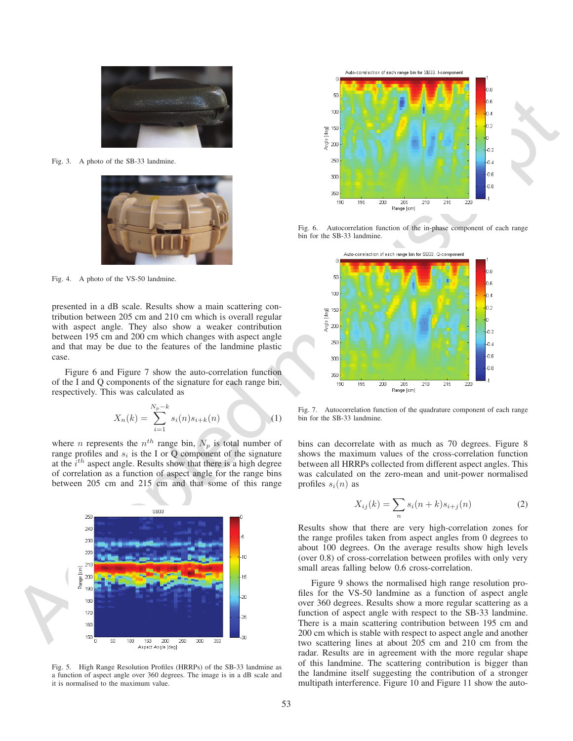

Fig. 3. A photo of the SB-33 landmine.



Fig. 4. A photo of the VS-50 landmine.

presented in a dB scale. Results show a main scattering contribution between 205 cm and 210 cm which is overall regular with aspect angle. They also show a weaker contribution between 195 cm and 200 cm which changes with aspect angle and that may be due to the features of the landmine plastic case.

Figure 6 and Figure 7 show the auto-correlation function of the I and Q components of the signature for each range bin, respectively. This was calculated as

$$
X_n(k) = \sum_{i=1}^{N_p - k} s_i(n) s_{i+k}(n) \tag{1}
$$

where *n* represents the  $n^{th}$  range bin,  $N_p$  is total number of range profiles and  $s_i$  is the I or Q component of the signature at the  $i^{th}$  aspect angle. Results show that there is a high degree of correlation as a function of aspect angle for the range bins between 205 cm and 215 cm and that some of this range



Fig. 5. High Range Resolution Profiles (HRRPs) of the SB-33 landmine as a function of aspect angle over 360 degrees. The image is in a dB scale and it is normalised to the maximum value.



Fig. 6. Autocorrelation function of the in-phase component of each range bin for the SB-33 landmine.



Fig. 7. Autocorrelation function of the quadrature component of each range bin for the SB-33 landmine.

bins can decorrelate with as much as 70 degrees. Figure 8 shows the maximum values of the cross-correlation function between all HRRPs collected from different aspect angles. This was calculated on the zero-mean and unit-power normalised profiles  $s_i(n)$  as

$$
X_{ij}(k) = \sum_{n} s_i(n+k)s_{i+j}(n)
$$
 (2)

Results show that there are very high-correlation zones for the range profiles taken from aspect angles from 0 degrees to about 100 degrees. On the average results show high levels (over 0.8) of cross-correlation between profiles with only very small areas falling below 0.6 cross-correlation.

Figure 9 shows the normalised high range resolution profiles for the VS-50 landmine as a function of aspect angle over 360 degrees. Results show a more regular scattering as a function of aspect angle with respect to the SB-33 landmine. There is a main scattering contribution between 195 cm and 200 cm which is stable with respect to aspect angle and another two scattering lines at about 205 cm and 210 cm from the radar. Results are in agreement with the more regular shape of this landmine. The scattering contribution is bigger than the landmine itself suggesting the contribution of a stronger multipath interference. Figure 10 and Figure 11 show the auto-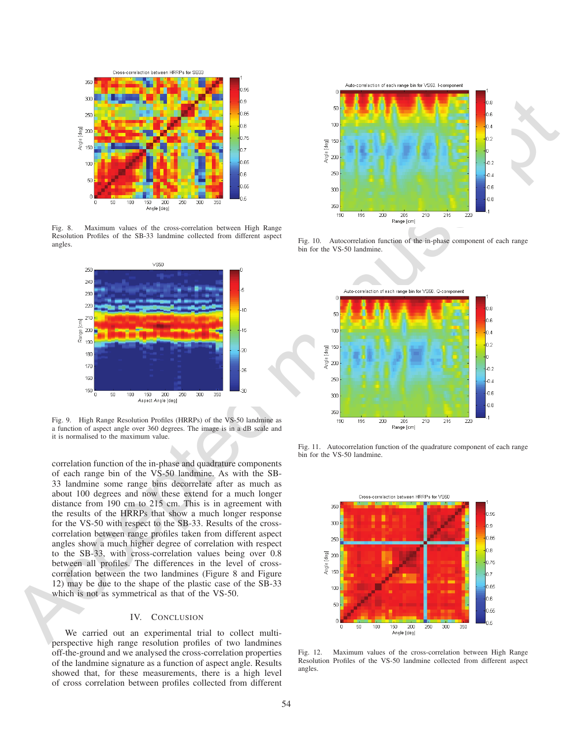

Fig. 8. Maximum values of the cross-correlation between High Range Resolution Profiles of the SB-33 landmine collected from different aspect angles.



Fig. 9. High Range Resolution Profiles (HRRPs) of the VS-50 landmine as a function of aspect angle over 360 degrees. The image is in a dB scale and it is normalised to the maximum value.

Accepted manuscript correlation function of the in-phase and quadrature components of each range bin of the VS-50 landmine. As with the SB-33 landmine some range bins decorrelate after as much as about 100 degrees and now these extend for a much longer distance from 190 cm to 215 cm. This is in agreement with the results of the HRRPs that show a much longer response for the VS-50 with respect to the SB-33. Results of the crosscorrelation between range profiles taken from different aspect angles show a much higher degree of correlation with respect to the SB-33, with cross-correlation values being over 0.8 between all profiles. The differences in the level of crosscorrelation between the two landmines (Figure 8 and Figure 12) may be due to the shape of the plastic case of the SB-33 which is not as symmetrical as that of the VS-50.

## IV. CONCLUSION

We carried out an experimental trial to collect multiperspective high range resolution profiles of two landmines off-the-ground and we analysed the cross-correlation properties of the landmine signature as a function of aspect angle. Results showed that, for these measurements, there is a high level of cross correlation between profiles collected from different



Fig. 10. Autocorrelation function of the in-phase component of each range bin for the VS-50 landmine.



Fig. 11. Autocorrelation function of the quadrature component of each range bin for the VS-50 landmine.



Fig. 12. Maximum values of the cross-correlation between High Range Resolution Profiles of the VS-50 landmine collected from different aspect angles.